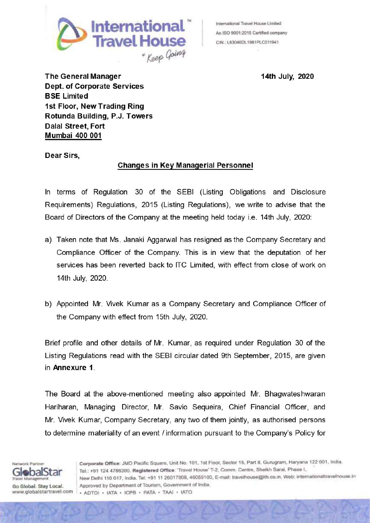

An ISO 9001:2015 Certified company

The General Manager 14th July, 2020 Dept. of Corporate Services **BSE Limited** 1st Floor, New Trading Ring Rotunda Building, P.J. Towers Dalal Street, Fort Mumbai 400 001

Dear Sirs.

## Changes in Key Managerial Personnel

In terms of Regulation 30 of the SEBI (Listing Obligations and Disclosure Requirements) Regulations, 2015 (Listing Regulations), we write to advise that the Board of Directors of the Company at the meeting held today i.e. 14th July, 2020:

- a) Taken note that Ms. Janaki Aggarwal has resigned as the Company Secretary and Compliance Officer of the Company. This is in view that the deputation of her services has been reverted back to ITC Limited, with effect from close of work on 14th July, 2020.
- b) Appointed Mr. Vivek Kumar as a Company Secretary and Compliance Officer of the Companywith effect from 15th July, 2020.

Brief profile and other details of Mr. Kumar, as required under Regulation 30 of the Listing Regulations read with the SEBIcircular dated 9th September, 2015, are given in Annexure 1.

The Board at the above-mentioned meeting also appointed Mr. Bhagwateshwaran Hariharan, Managing Director, Mr. Savio Sequeira, Chief Financial Officer, and Mr. Vivek Kumar, Company Secretary, any two of them jointly, as authorised persons to determine materiality of an event / information pursuant to the Company's Policy for

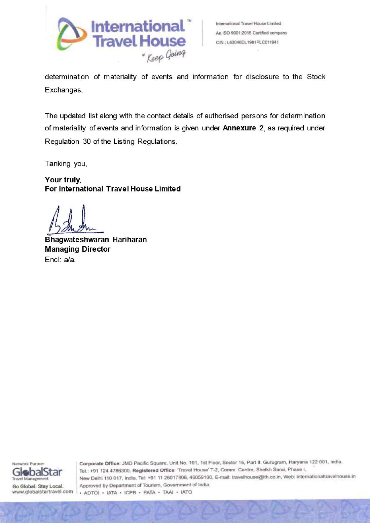

determination of materiality of events and information for disclosure to the Stock Exchanges.

The updated list along with the contact details of authorised persons for determination of materiality of events and information is given under Annexure 2, as required under Regulation 30 of the Listing Regulations.

Tanking you,

Your truly, For International Travel House Limited

Bhagwateshwaran Hariharan **Managing Director** Encl: a/a.



Corporate Office: JMD Pacific Square, Unit No, 101, 1st Floor, Sector 15, Part II, Gurugram, Haryana 122 001, India. GlebalStar Tel: +91 124 4786300, Registered Office: "Travel House' T-2, Comm. Centre, Sheikh Sarai, Phase I, New Delhi 110 017, India. Tel: +91 11 26017808, 46059100, E-mail: travelhouse@ith.co.in, Web: internationaltravelhouse.in Go Global. Stay Local. Approved by Department of Tourism, Government of India. www.globalstartravel.com . ADTOI + IATA + ICPB + PATA + TAAI + IATO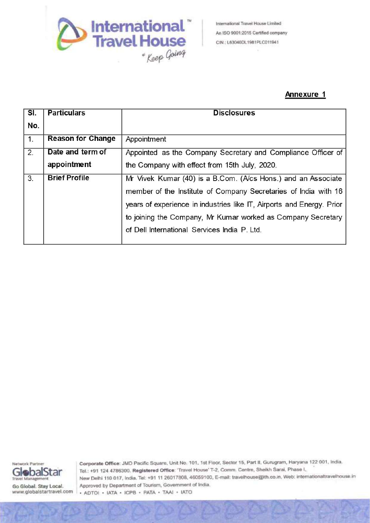

## Annexure <sup>1</sup>

|                                  |                                 | International<br>International Travel House Limited                                                                                      |  |  |  |  |
|----------------------------------|---------------------------------|------------------------------------------------------------------------------------------------------------------------------------------|--|--|--|--|
|                                  |                                 | An ISO 9001:2015 Certified company<br><b>Travel House</b><br>CIN.; L63040DL1981PLC011941                                                 |  |  |  |  |
|                                  | * Keep Going                    |                                                                                                                                          |  |  |  |  |
|                                  |                                 |                                                                                                                                          |  |  |  |  |
|                                  |                                 | <b>Annexure 1</b>                                                                                                                        |  |  |  |  |
| $\overline{\mathsf{SI}.}$<br>No. | <b>Particulars</b>              | <b>Disclosures</b>                                                                                                                       |  |  |  |  |
| $\overline{1}$ .                 | <b>Reason for Change</b>        | Appointment                                                                                                                              |  |  |  |  |
| $\overline{2}$ .                 | Date and term of<br>appointment | Appointed as the Company Secretary and Compliance Officer of<br>the Company with effect from 15th July, 2020.                            |  |  |  |  |
| $\overline{3}$ .                 | <b>Brief Profile</b>            | Mr Vivek Kumar (40) is a B.Com. (A/cs Hons.) and an Associate                                                                            |  |  |  |  |
|                                  |                                 | member of the Institute of Company Secretaries of India with 16<br>years of experience in industries like IT, Airports and Energy. Prior |  |  |  |  |
|                                  |                                 | to joining the Company, Mr Kumar worked as Company Secretary                                                                             |  |  |  |  |
|                                  |                                 | of Dell International Services India P. Ltd.                                                                                             |  |  |  |  |



Go Global. Stay Local. www.globaistartravel.com

Corporate Office: JMD Pacific Square, Unit No, 101, 1st Floor, Sector 15, Part II, Gurugram, Haryana 122 001, India. Tel.: +91 124 4786300. Registered Office; "Travel House' T-2, Comm. Centre, Sheikh Sarai, Phase |, New Delhi 110 017, india. Tel: +91 11 26017808, 46059100, E-mail: travelnouse@ith.co.in, Web: intemationaltravelhouse in Approved by Department of Tourism, Government of India. <sup>+</sup> ADTO! <sup>+</sup> IATA <sup>+</sup> ICPB <sup>+</sup> PATA <sup>+</sup> TAAI <sup>+</sup> IATO